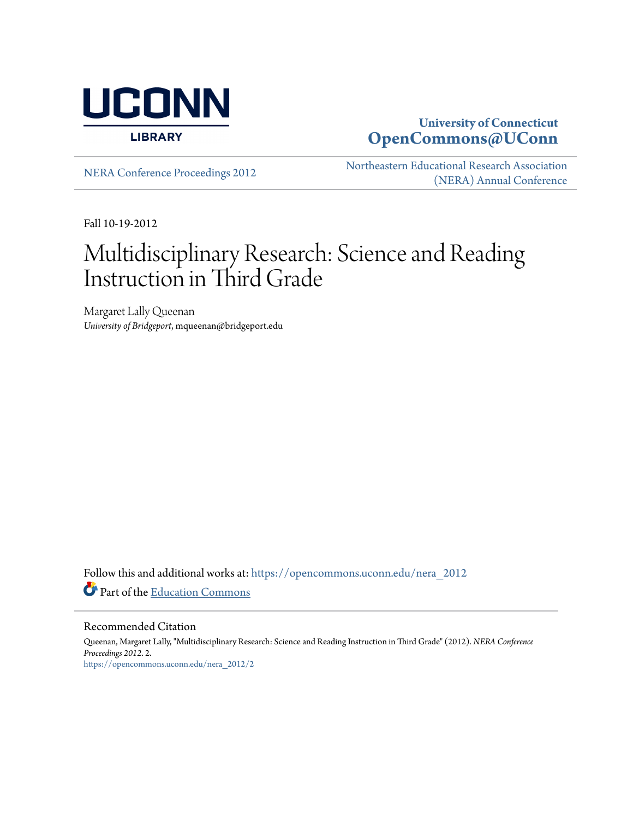

### **University of Connecticut [OpenCommons@UConn](https://opencommons.uconn.edu?utm_source=opencommons.uconn.edu%2Fnera_2012%2F2&utm_medium=PDF&utm_campaign=PDFCoverPages)**

[NERA Conference Proceedings 2012](https://opencommons.uconn.edu/nera_2012?utm_source=opencommons.uconn.edu%2Fnera_2012%2F2&utm_medium=PDF&utm_campaign=PDFCoverPages) [Northeastern Educational Research Association](https://opencommons.uconn.edu/nera?utm_source=opencommons.uconn.edu%2Fnera_2012%2F2&utm_medium=PDF&utm_campaign=PDFCoverPages) [\(NERA\) Annual Conference](https://opencommons.uconn.edu/nera?utm_source=opencommons.uconn.edu%2Fnera_2012%2F2&utm_medium=PDF&utm_campaign=PDFCoverPages)

Fall 10-19-2012

# Multidisciplinary Research: Science and Reading Instruction in Third Grade

Margaret Lally Queenan *University of Bridgeport*, mqueenan@bridgeport.edu

Follow this and additional works at: [https://opencommons.uconn.edu/nera\\_2012](https://opencommons.uconn.edu/nera_2012?utm_source=opencommons.uconn.edu%2Fnera_2012%2F2&utm_medium=PDF&utm_campaign=PDFCoverPages) Part of the [Education Commons](http://network.bepress.com/hgg/discipline/784?utm_source=opencommons.uconn.edu%2Fnera_2012%2F2&utm_medium=PDF&utm_campaign=PDFCoverPages)

Recommended Citation

Queenan, Margaret Lally, "Multidisciplinary Research: Science and Reading Instruction in Third Grade" (2012). *NERA Conference Proceedings 2012*. 2. [https://opencommons.uconn.edu/nera\\_2012/2](https://opencommons.uconn.edu/nera_2012/2?utm_source=opencommons.uconn.edu%2Fnera_2012%2F2&utm_medium=PDF&utm_campaign=PDFCoverPages)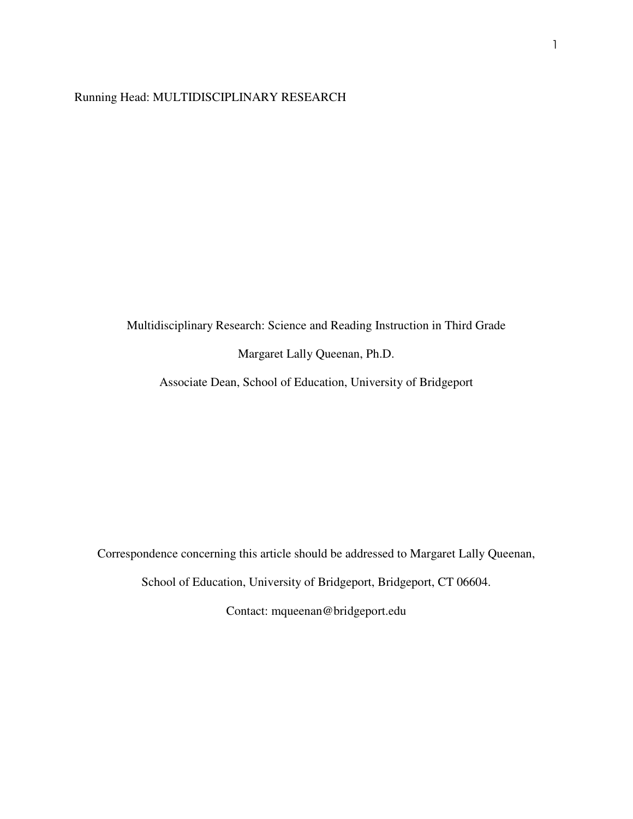#### Running Head: MULTIDISCIPLINARY RESEARCH

Multidisciplinary Research: Science and Reading Instruction in Third Grade

Margaret Lally Queenan, Ph.D.

Associate Dean, School of Education, University of Bridgeport

Correspondence concerning this article should be addressed to Margaret Lally Queenan,

School of Education, University of Bridgeport, Bridgeport, CT 06604.

Contact: mqueenan@bridgeport.edu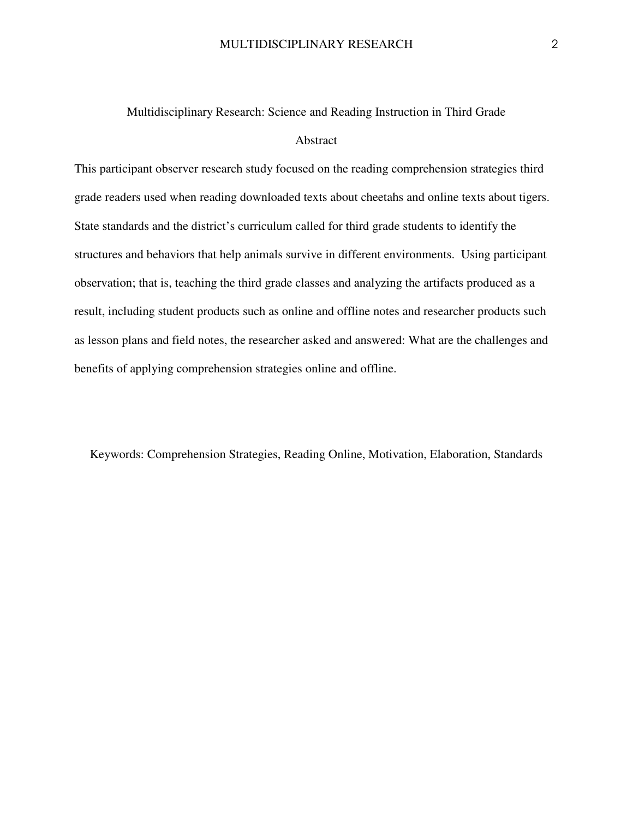## Multidisciplinary Research: Science and Reading Instruction in Third Grade Abstract

This participant observer research study focused on the reading comprehension strategies third grade readers used when reading downloaded texts about cheetahs and online texts about tigers. State standards and the district's curriculum called for third grade students to identify the structures and behaviors that help animals survive in different environments. Using participant observation; that is, teaching the third grade classes and analyzing the artifacts produced as a result, including student products such as online and offline notes and researcher products such as lesson plans and field notes, the researcher asked and answered: What are the challenges and benefits of applying comprehension strategies online and offline.

Keywords: Comprehension Strategies, Reading Online, Motivation, Elaboration, Standards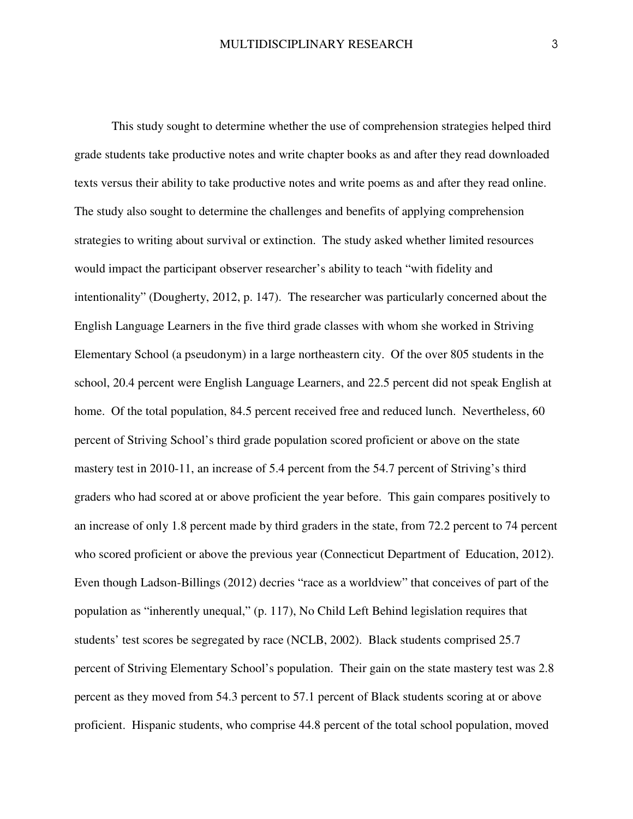This study sought to determine whether the use of comprehension strategies helped third grade students take productive notes and write chapter books as and after they read downloaded texts versus their ability to take productive notes and write poems as and after they read online. The study also sought to determine the challenges and benefits of applying comprehension strategies to writing about survival or extinction. The study asked whether limited resources would impact the participant observer researcher's ability to teach "with fidelity and intentionality" (Dougherty, 2012, p. 147). The researcher was particularly concerned about the English Language Learners in the five third grade classes with whom she worked in Striving Elementary School (a pseudonym) in a large northeastern city. Of the over 805 students in the school, 20.4 percent were English Language Learners, and 22.5 percent did not speak English at home. Of the total population, 84.5 percent received free and reduced lunch. Nevertheless, 60 percent of Striving School's third grade population scored proficient or above on the state mastery test in 2010-11, an increase of 5.4 percent from the 54.7 percent of Striving's third graders who had scored at or above proficient the year before. This gain compares positively to an increase of only 1.8 percent made by third graders in the state, from 72.2 percent to 74 percent who scored proficient or above the previous year (Connecticut Department of Education, 2012). Even though Ladson-Billings (2012) decries "race as a worldview" that conceives of part of the population as "inherently unequal," (p. 117), No Child Left Behind legislation requires that students' test scores be segregated by race (NCLB, 2002). Black students comprised 25.7 percent of Striving Elementary School's population. Their gain on the state mastery test was 2.8 percent as they moved from 54.3 percent to 57.1 percent of Black students scoring at or above proficient. Hispanic students, who comprise 44.8 percent of the total school population, moved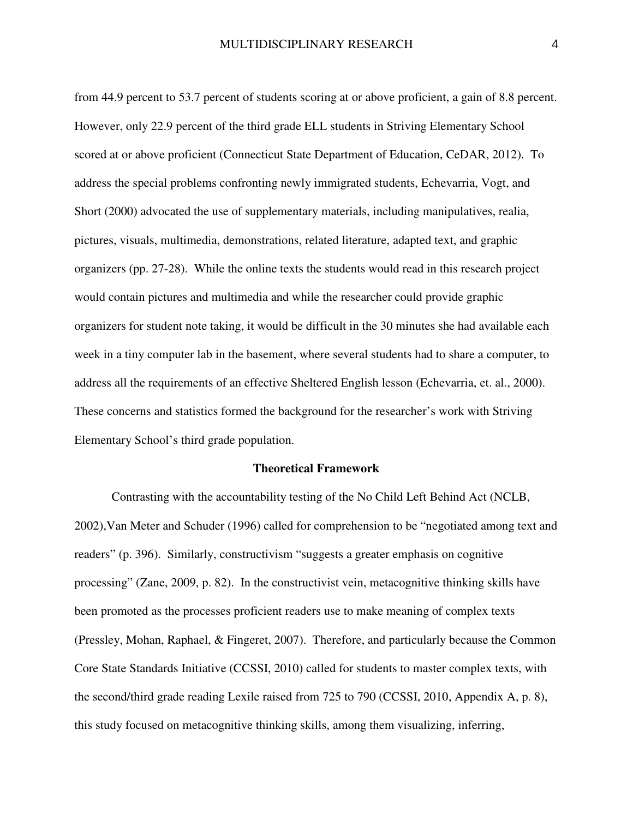from 44.9 percent to 53.7 percent of students scoring at or above proficient, a gain of 8.8 percent. However, only 22.9 percent of the third grade ELL students in Striving Elementary School scored at or above proficient (Connecticut State Department of Education, CeDAR, 2012). To address the special problems confronting newly immigrated students, Echevarria, Vogt, and Short (2000) advocated the use of supplementary materials, including manipulatives, realia, pictures, visuals, multimedia, demonstrations, related literature, adapted text, and graphic organizers (pp. 27-28). While the online texts the students would read in this research project would contain pictures and multimedia and while the researcher could provide graphic organizers for student note taking, it would be difficult in the 30 minutes she had available each week in a tiny computer lab in the basement, where several students had to share a computer, to address all the requirements of an effective Sheltered English lesson (Echevarria, et. al., 2000). These concerns and statistics formed the background for the researcher's work with Striving Elementary School's third grade population.

#### **Theoretical Framework**

Contrasting with the accountability testing of the No Child Left Behind Act (NCLB, 2002),Van Meter and Schuder (1996) called for comprehension to be "negotiated among text and readers" (p. 396). Similarly, constructivism "suggests a greater emphasis on cognitive processing" (Zane, 2009, p. 82). In the constructivist vein, metacognitive thinking skills have been promoted as the processes proficient readers use to make meaning of complex texts (Pressley, Mohan, Raphael, & Fingeret, 2007). Therefore, and particularly because the Common Core State Standards Initiative (CCSSI, 2010) called for students to master complex texts, with the second/third grade reading Lexile raised from 725 to 790 (CCSSI, 2010, Appendix A, p. 8), this study focused on metacognitive thinking skills, among them visualizing, inferring,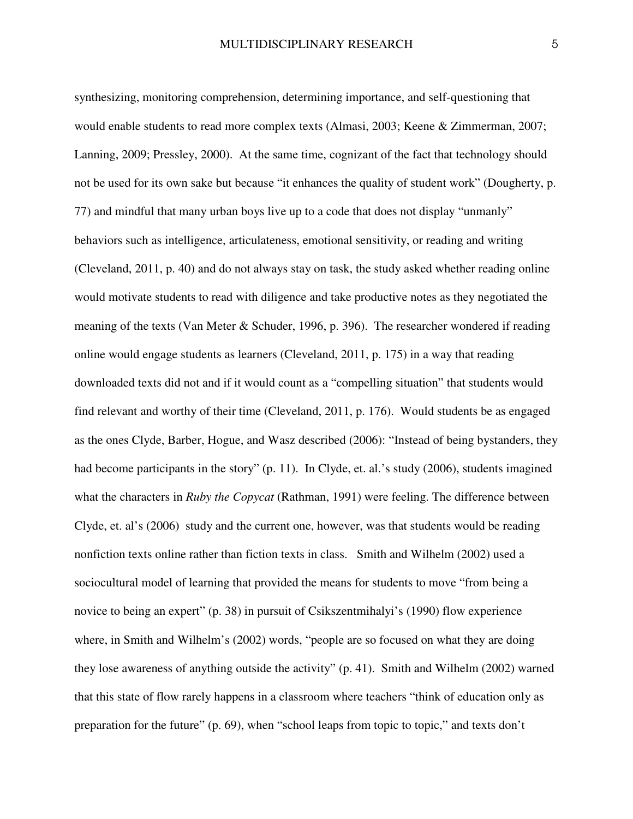synthesizing, monitoring comprehension, determining importance, and self-questioning that would enable students to read more complex texts (Almasi, 2003; Keene & Zimmerman, 2007; Lanning, 2009; Pressley, 2000). At the same time, cognizant of the fact that technology should not be used for its own sake but because "it enhances the quality of student work" (Dougherty, p. 77) and mindful that many urban boys live up to a code that does not display "unmanly" behaviors such as intelligence, articulateness, emotional sensitivity, or reading and writing (Cleveland, 2011, p. 40) and do not always stay on task, the study asked whether reading online would motivate students to read with diligence and take productive notes as they negotiated the meaning of the texts (Van Meter & Schuder, 1996, p. 396). The researcher wondered if reading online would engage students as learners (Cleveland, 2011, p. 175) in a way that reading downloaded texts did not and if it would count as a "compelling situation" that students would find relevant and worthy of their time (Cleveland, 2011, p. 176). Would students be as engaged as the ones Clyde, Barber, Hogue, and Wasz described (2006): "Instead of being bystanders, they had become participants in the story" (p. 11). In Clyde, et. al.'s study (2006), students imagined what the characters in *Ruby the Copycat* (Rathman, 1991) were feeling. The difference between Clyde, et. al's (2006) study and the current one, however, was that students would be reading nonfiction texts online rather than fiction texts in class. Smith and Wilhelm (2002) used a sociocultural model of learning that provided the means for students to move "from being a novice to being an expert" (p. 38) in pursuit of Csikszentmihalyi's (1990) flow experience where, in Smith and Wilhelm's (2002) words, "people are so focused on what they are doing they lose awareness of anything outside the activity" (p. 41). Smith and Wilhelm (2002) warned that this state of flow rarely happens in a classroom where teachers "think of education only as preparation for the future" (p. 69), when "school leaps from topic to topic," and texts don't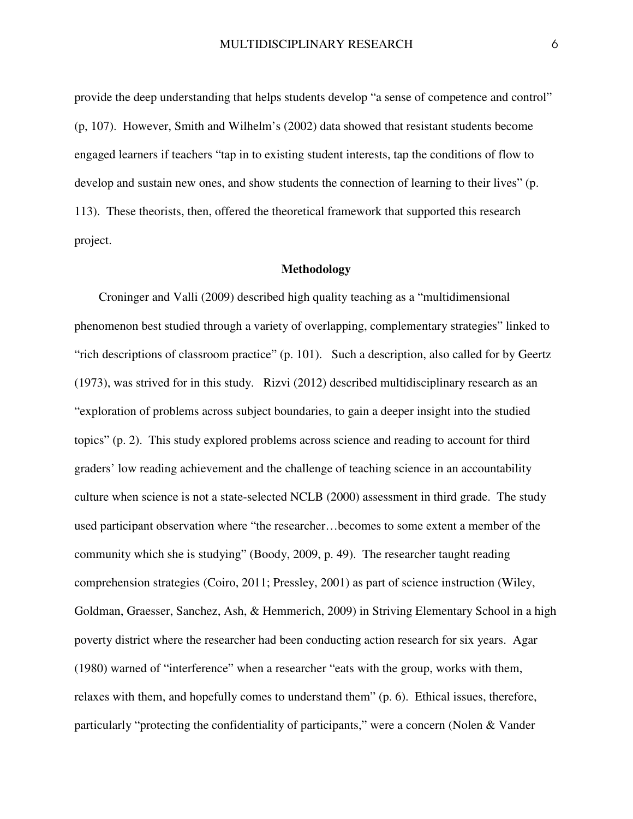provide the deep understanding that helps students develop "a sense of competence and control" (p, 107). However, Smith and Wilhelm's (2002) data showed that resistant students become engaged learners if teachers "tap in to existing student interests, tap the conditions of flow to develop and sustain new ones, and show students the connection of learning to their lives" (p. 113). These theorists, then, offered the theoretical framework that supported this research project.

#### **Methodology**

Croninger and Valli (2009) described high quality teaching as a "multidimensional phenomenon best studied through a variety of overlapping, complementary strategies" linked to "rich descriptions of classroom practice" (p. 101). Such a description, also called for by Geertz (1973), was strived for in this study. Rizvi (2012) described multidisciplinary research as an "exploration of problems across subject boundaries, to gain a deeper insight into the studied topics" (p. 2). This study explored problems across science and reading to account for third graders' low reading achievement and the challenge of teaching science in an accountability culture when science is not a state-selected NCLB (2000) assessment in third grade. The study used participant observation where "the researcher…becomes to some extent a member of the community which she is studying" (Boody, 2009, p. 49). The researcher taught reading comprehension strategies (Coiro, 2011; Pressley, 2001) as part of science instruction (Wiley, Goldman, Graesser, Sanchez, Ash, & Hemmerich, 2009) in Striving Elementary School in a high poverty district where the researcher had been conducting action research for six years. Agar (1980) warned of "interference" when a researcher "eats with the group, works with them, relaxes with them, and hopefully comes to understand them" (p. 6). Ethical issues, therefore, particularly "protecting the confidentiality of participants," were a concern (Nolen & Vander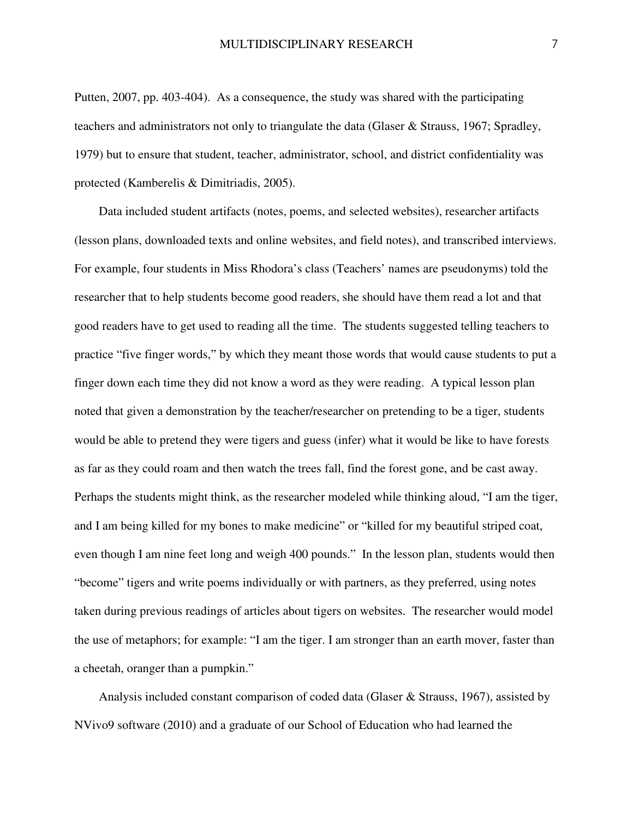Putten, 2007, pp. 403-404). As a consequence, the study was shared with the participating teachers and administrators not only to triangulate the data (Glaser & Strauss, 1967; Spradley, 1979) but to ensure that student, teacher, administrator, school, and district confidentiality was protected (Kamberelis & Dimitriadis, 2005).

Data included student artifacts (notes, poems, and selected websites), researcher artifacts (lesson plans, downloaded texts and online websites, and field notes), and transcribed interviews. For example, four students in Miss Rhodora's class (Teachers' names are pseudonyms) told the researcher that to help students become good readers, she should have them read a lot and that good readers have to get used to reading all the time. The students suggested telling teachers to practice "five finger words," by which they meant those words that would cause students to put a finger down each time they did not know a word as they were reading. A typical lesson plan noted that given a demonstration by the teacher/researcher on pretending to be a tiger, students would be able to pretend they were tigers and guess (infer) what it would be like to have forests as far as they could roam and then watch the trees fall, find the forest gone, and be cast away. Perhaps the students might think, as the researcher modeled while thinking aloud, "I am the tiger, and I am being killed for my bones to make medicine" or "killed for my beautiful striped coat, even though I am nine feet long and weigh 400 pounds." In the lesson plan, students would then "become" tigers and write poems individually or with partners, as they preferred, using notes taken during previous readings of articles about tigers on websites. The researcher would model the use of metaphors; for example: "I am the tiger. I am stronger than an earth mover, faster than a cheetah, oranger than a pumpkin."

Analysis included constant comparison of coded data (Glaser & Strauss, 1967), assisted by NVivo9 software (2010) and a graduate of our School of Education who had learned the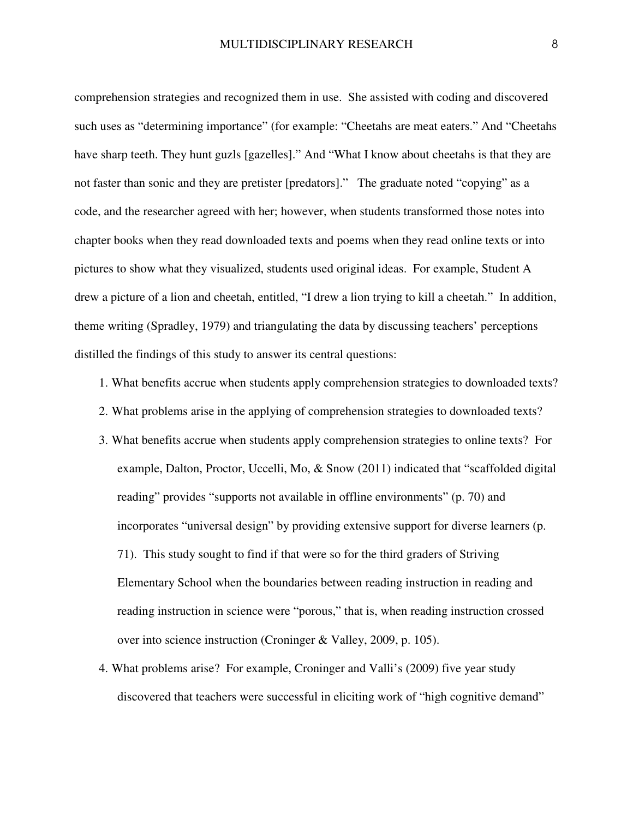comprehension strategies and recognized them in use. She assisted with coding and discovered such uses as "determining importance" (for example: "Cheetahs are meat eaters." And "Cheetahs have sharp teeth. They hunt guzls [gazelles]." And "What I know about cheetahs is that they are not faster than sonic and they are pretister [predators]." The graduate noted "copying" as a code, and the researcher agreed with her; however, when students transformed those notes into chapter books when they read downloaded texts and poems when they read online texts or into pictures to show what they visualized, students used original ideas. For example, Student A drew a picture of a lion and cheetah, entitled, "I drew a lion trying to kill a cheetah." In addition, theme writing (Spradley, 1979) and triangulating the data by discussing teachers' perceptions distilled the findings of this study to answer its central questions:

- 1. What benefits accrue when students apply comprehension strategies to downloaded texts?
- 2. What problems arise in the applying of comprehension strategies to downloaded texts?
- 3. What benefits accrue when students apply comprehension strategies to online texts? For example, Dalton, Proctor, Uccelli, Mo, & Snow (2011) indicated that "scaffolded digital reading" provides "supports not available in offline environments" (p. 70) and incorporates "universal design" by providing extensive support for diverse learners (p. 71). This study sought to find if that were so for the third graders of Striving Elementary School when the boundaries between reading instruction in reading and reading instruction in science were "porous," that is, when reading instruction crossed over into science instruction (Croninger & Valley, 2009, p. 105).
- 4. What problems arise? For example, Croninger and Valli's (2009) five year study discovered that teachers were successful in eliciting work of "high cognitive demand"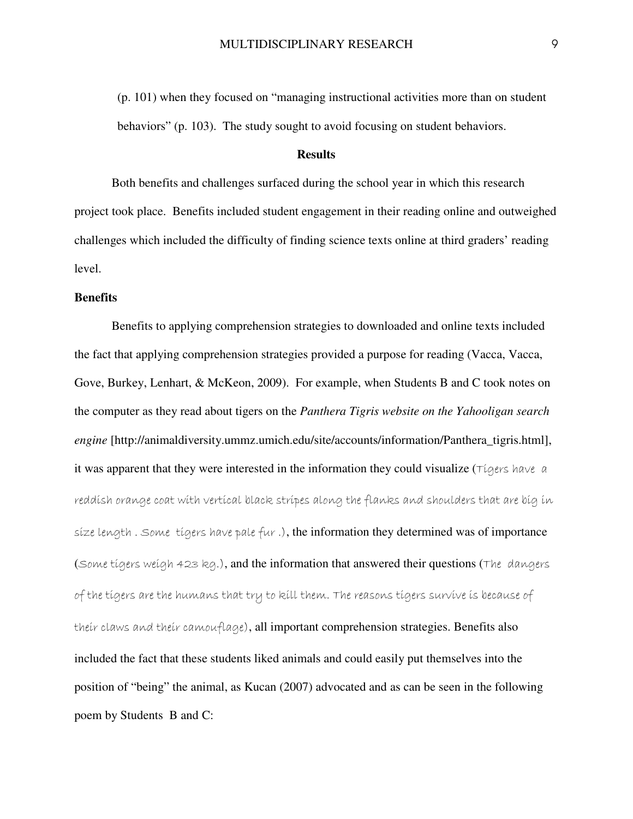(p. 101) when they focused on "managing instructional activities more than on student behaviors" (p. 103). The study sought to avoid focusing on student behaviors.

#### **Results**

 Both benefits and challenges surfaced during the school year in which this research project took place. Benefits included student engagement in their reading online and outweighed challenges which included the difficulty of finding science texts online at third graders' reading level.

#### **Benefits**

Benefits to applying comprehension strategies to downloaded and online texts included the fact that applying comprehension strategies provided a purpose for reading (Vacca, Vacca, Gove, Burkey, Lenhart, & McKeon, 2009). For example, when Students B and C took notes on the computer as they read about tigers on the *Panthera Tigris website on the Yahooligan search engine* [http://animaldiversity.ummz.umich.edu/site/accounts/information/Panthera\_tigris.html], it was apparent that they were interested in the information they could visualize ( $\tau$ igers have a reddish orange coat with vertical black stripes along the flanks and shoulders that are big in size length. Some tigers have pale fur.), the information they determined was of importance (Some tigers weigh 423 kg.), and the information that answered their questions (The dangers of the tigers are the humans that try to kill them. The reasons tigers survive is because of their claws and their camouflage), all important comprehension strategies. Benefits also included the fact that these students liked animals and could easily put themselves into the position of "being" the animal, as Kucan (2007) advocated and as can be seen in the following poem by Students B and C: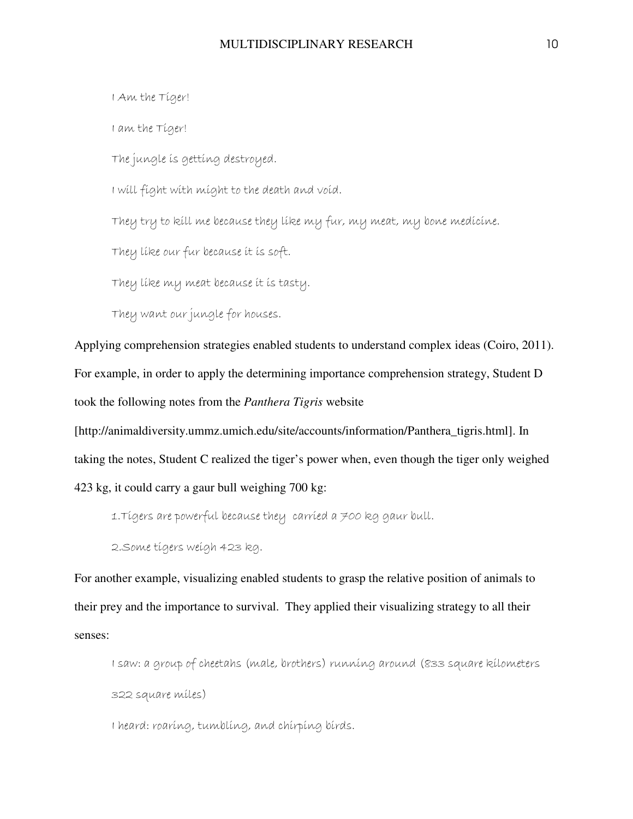I Am the Tiger! I am the Tiger! The jungle is getting destroyed. I will fight with might to the death and void. They try to kill me because they like my fur, my meat, my bone medicine. They like our fur because it is soft. They like my meat because it is tasty. They want our jungle for houses.

Applying comprehension strategies enabled students to understand complex ideas (Coiro, 2011). For example, in order to apply the determining importance comprehension strategy, Student D took the following notes from the *Panthera Tigris* website

[http://animaldiversity.ummz.umich.edu/site/accounts/information/Panthera\_tigris.html]. In taking the notes, Student C realized the tiger's power when, even though the tiger only weighed 423 kg, it could carry a gaur bull weighing 700 kg:

1.Tigers are powerful because they carried a 700 kg gaur bull.

2.Some tigers weigh 423 kg.

For another example, visualizing enabled students to grasp the relative position of animals to their prey and the importance to survival. They applied their visualizing strategy to all their senses:

I saw: a group of cheetahs (male, brothers) running around (833 square kilometers 322 square miles)

I heard: roaring, tumbling, and chirping birds.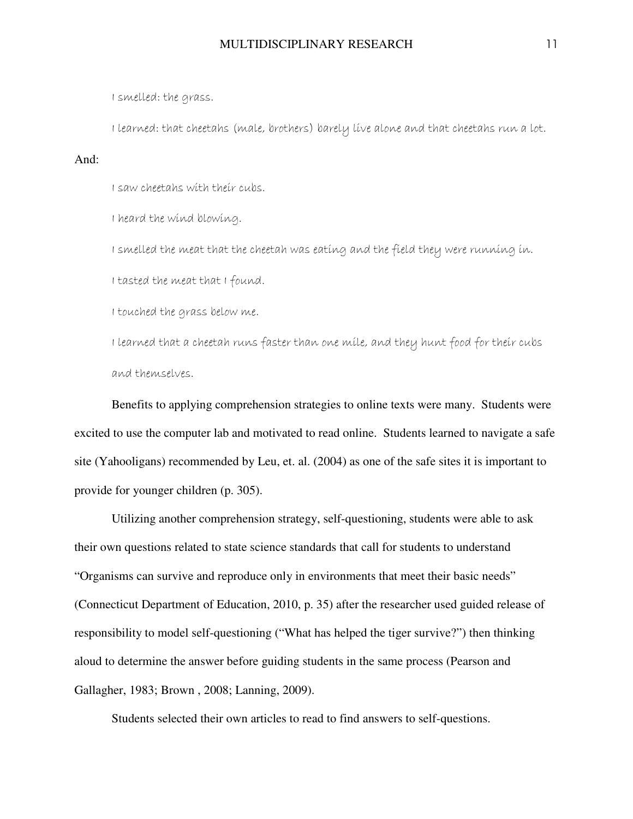I smelled: the grass.

I learned: that cheetahs (male, brothers) barely live alone and that cheetahs run a lot.

And:

I saw cheetahs with their cubs.

I heard the wind blowing.

I smelled the meat that the cheetah was eating and the field they were running in.

I tasted the meat that I found.

I touched the grass below me.

I learned that a cheetah runs faster than one mile, and they hunt food for their cubs and themselves.

Benefits to applying comprehension strategies to online texts were many. Students were excited to use the computer lab and motivated to read online. Students learned to navigate a safe site (Yahooligans) recommended by Leu, et. al. (2004) as one of the safe sites it is important to provide for younger children (p. 305).

Utilizing another comprehension strategy, self-questioning, students were able to ask their own questions related to state science standards that call for students to understand "Organisms can survive and reproduce only in environments that meet their basic needs" (Connecticut Department of Education, 2010, p. 35) after the researcher used guided release of responsibility to model self-questioning ("What has helped the tiger survive?") then thinking aloud to determine the answer before guiding students in the same process (Pearson and Gallagher, 1983; Brown , 2008; Lanning, 2009).

Students selected their own articles to read to find answers to self-questions.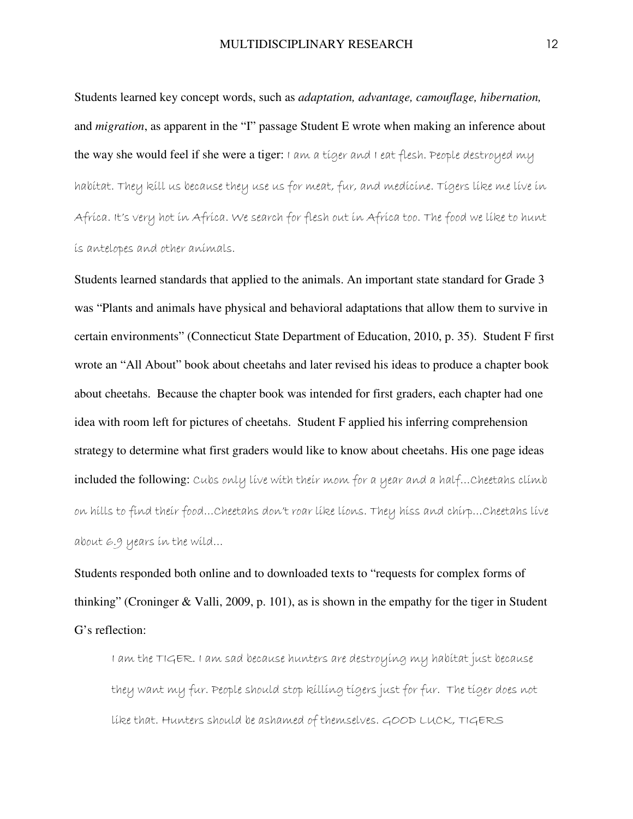Students learned key concept words, such as *adaptation, advantage, camouflage, hibernation,*  and *migration*, as apparent in the "I" passage Student E wrote when making an inference about the way she would feel if she were a tiger: I am a tiger and I eat flesh. People destroyed my habitat. They kill us because they use us for meat, fur, and medicine. Tigers like me live in Africa. It's very hot in Africa. We search for flesh out in Africa too. The food we like to hunt is antelopes and other animals.

Students learned standards that applied to the animals. An important state standard for Grade 3 was "Plants and animals have physical and behavioral adaptations that allow them to survive in certain environments" (Connecticut State Department of Education, 2010, p. 35). Student F first wrote an "All About" book about cheetahs and later revised his ideas to produce a chapter book about cheetahs. Because the chapter book was intended for first graders, each chapter had one idea with room left for pictures of cheetahs. Student F applied his inferring comprehension strategy to determine what first graders would like to know about cheetahs. His one page ideas included the following: Cubs only live with their mom for a year and a half...Cheetahs climb on hills to find their food…Cheetahs don't roar like lions. They hiss and chirp…Cheetahs live about 6.9 years in the wild…

Students responded both online and to downloaded texts to "requests for complex forms of thinking" (Croninger & Valli, 2009, p. 101), as is shown in the empathy for the tiger in Student G's reflection:

I am the TIGER. I am sad because hunters are destroying my habitat just because they want my fur. People should stop killing tigers just for fur. The tiger does not like that. Hunters should be ashamed of themselves. GOOD LUCK, TIGERS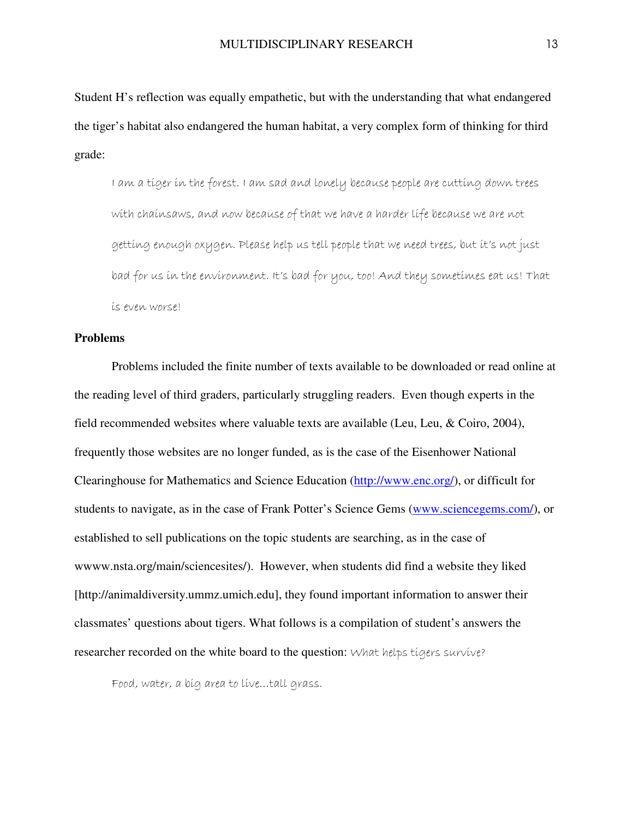Student H's reflection was equally empathetic, but with the understanding that what endangered the tiger's habitat also endangered the human habitat, a very complex form of thinking for third grade:

I am a tiger in the forest. I am sad and lonely because people are cutting down trees with chainsaws, and now because of that we have a harder life because we are not getting enough oxygen. Please help us tell people that we need trees, but it's not just bad for us in the environment. It's bad for you, too! And they sometimes eat us! That is even worse!

#### **Problems**

Problems included the finite number of texts available to be downloaded or read online at the reading level of third graders, particularly struggling readers. Even though experts in the field recommended websites where valuable texts are available (Leu, Leu, & Coiro, 2004), frequently those websites are no longer funded, as is the case of the Eisenhower National Clearinghouse for Mathematics and Science Education (http://www.enc.org/), or difficult for students to navigate, as in the case of Frank Potter's Science Gems (www.sciencegems.com/), or established to sell publications on the topic students are searching, as in the case of wwww.nsta.org/main/sciencesites/). However, when students did find a website they liked [http://animaldiversity.ummz.umich.edu], they found important information to answer their classmates' questions about tigers. What follows is a compilation of student's answers the researcher recorded on the white board to the question: What helps tigers survive?

Food, water, a big area to live…tall grass.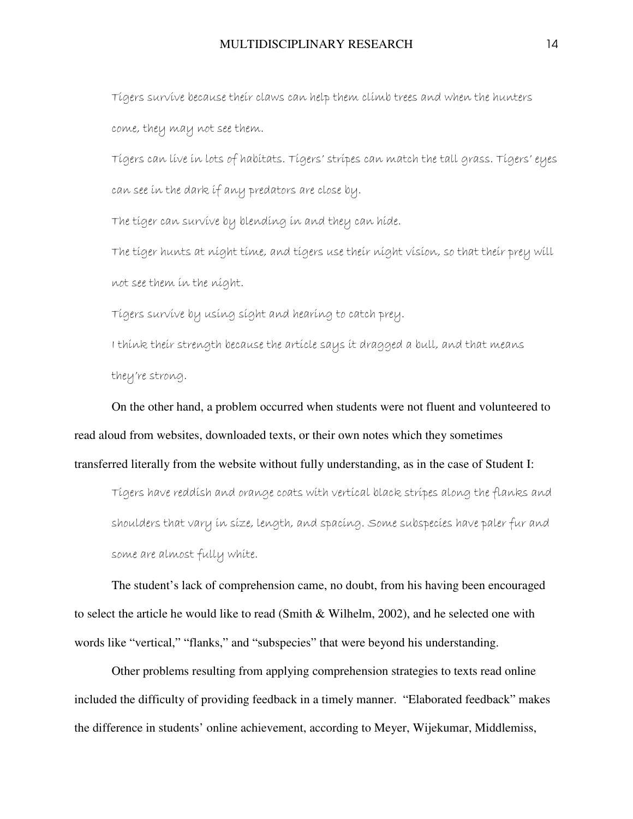Tigers survive because their claws can help them climb trees and when the hunters come, they may not see them.

Tigers can live in lots of habitats. Tigers' stripes can match the tall grass. Tigers' eyes can see in the dark if any predators are close by.

The tiger can survive by blending in and they can hide.

The tiger hunts at night time, and tigers use their night vision, so that their prey will not see them in the night.

Tigers survive by using sight and hearing to catch prey.

I think their strength because the article says it dragged a bull, and that means they're strong.

On the other hand, a problem occurred when students were not fluent and volunteered to read aloud from websites, downloaded texts, or their own notes which they sometimes transferred literally from the website without fully understanding, as in the case of Student I:

Tigers have reddish and orange coats with vertical black stripes along the flanks and shoulders that vary in size, length, and spacing. Some subspecies have paler fur and some are almost fully white.

The student's lack of comprehension came, no doubt, from his having been encouraged to select the article he would like to read (Smith & Wilhelm, 2002), and he selected one with words like "vertical," "flanks," and "subspecies" that were beyond his understanding.

Other problems resulting from applying comprehension strategies to texts read online included the difficulty of providing feedback in a timely manner. "Elaborated feedback" makes the difference in students' online achievement, according to Meyer, Wijekumar, Middlemiss,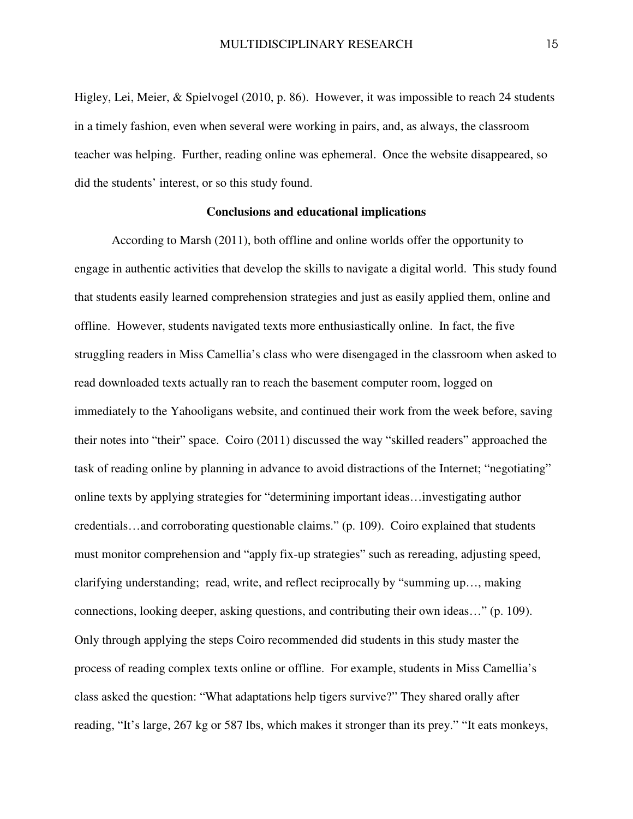Higley, Lei, Meier, & Spielvogel (2010, p. 86). However, it was impossible to reach 24 students in a timely fashion, even when several were working in pairs, and, as always, the classroom teacher was helping. Further, reading online was ephemeral. Once the website disappeared, so did the students' interest, or so this study found.

#### **Conclusions and educational implications**

According to Marsh (2011), both offline and online worlds offer the opportunity to engage in authentic activities that develop the skills to navigate a digital world. This study found that students easily learned comprehension strategies and just as easily applied them, online and offline. However, students navigated texts more enthusiastically online. In fact, the five struggling readers in Miss Camellia's class who were disengaged in the classroom when asked to read downloaded texts actually ran to reach the basement computer room, logged on immediately to the Yahooligans website, and continued their work from the week before, saving their notes into "their" space. Coiro (2011) discussed the way "skilled readers" approached the task of reading online by planning in advance to avoid distractions of the Internet; "negotiating" online texts by applying strategies for "determining important ideas…investigating author credentials…and corroborating questionable claims." (p. 109). Coiro explained that students must monitor comprehension and "apply fix-up strategies" such as rereading, adjusting speed, clarifying understanding; read, write, and reflect reciprocally by "summing up…, making connections, looking deeper, asking questions, and contributing their own ideas…" (p. 109). Only through applying the steps Coiro recommended did students in this study master the process of reading complex texts online or offline. For example, students in Miss Camellia's class asked the question: "What adaptations help tigers survive?" They shared orally after reading, "It's large, 267 kg or 587 lbs, which makes it stronger than its prey." "It eats monkeys,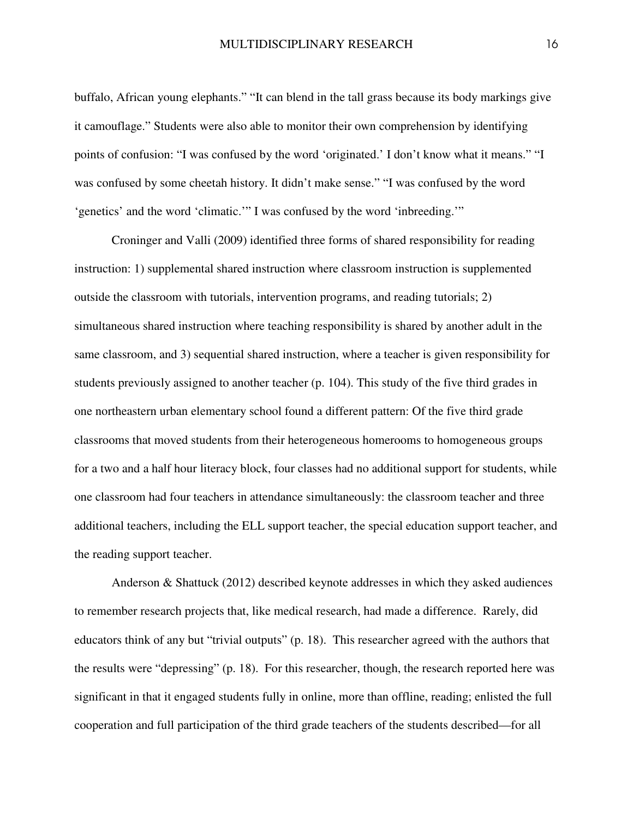buffalo, African young elephants." "It can blend in the tall grass because its body markings give it camouflage." Students were also able to monitor their own comprehension by identifying points of confusion: "I was confused by the word 'originated.' I don't know what it means." "I was confused by some cheetah history. It didn't make sense." "I was confused by the word 'genetics' and the word 'climatic.'" I was confused by the word 'inbreeding.'"

Croninger and Valli (2009) identified three forms of shared responsibility for reading instruction: 1) supplemental shared instruction where classroom instruction is supplemented outside the classroom with tutorials, intervention programs, and reading tutorials; 2) simultaneous shared instruction where teaching responsibility is shared by another adult in the same classroom, and 3) sequential shared instruction, where a teacher is given responsibility for students previously assigned to another teacher (p. 104). This study of the five third grades in one northeastern urban elementary school found a different pattern: Of the five third grade classrooms that moved students from their heterogeneous homerooms to homogeneous groups for a two and a half hour literacy block, four classes had no additional support for students, while one classroom had four teachers in attendance simultaneously: the classroom teacher and three additional teachers, including the ELL support teacher, the special education support teacher, and the reading support teacher.

Anderson & Shattuck (2012) described keynote addresses in which they asked audiences to remember research projects that, like medical research, had made a difference. Rarely, did educators think of any but "trivial outputs" (p. 18). This researcher agreed with the authors that the results were "depressing" (p. 18). For this researcher, though, the research reported here was significant in that it engaged students fully in online, more than offline, reading; enlisted the full cooperation and full participation of the third grade teachers of the students described—for all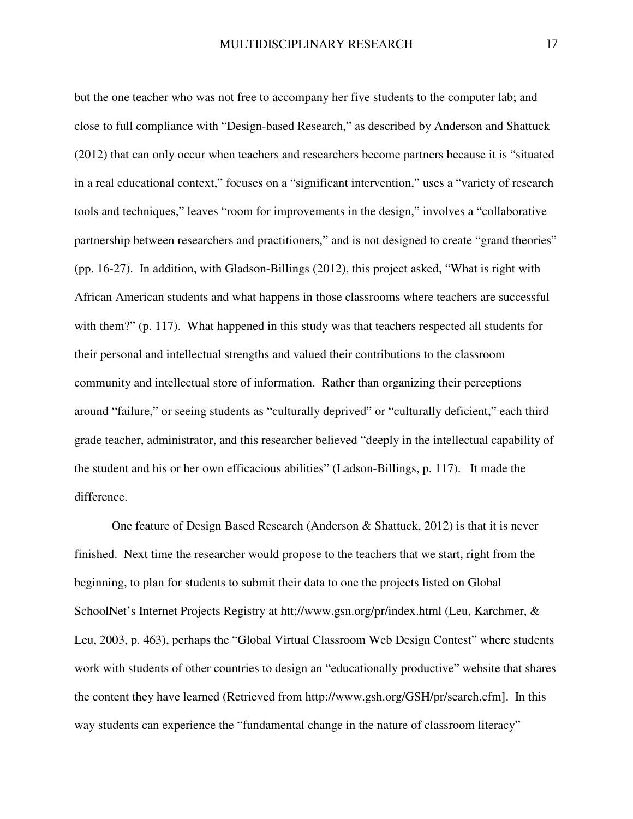but the one teacher who was not free to accompany her five students to the computer lab; and close to full compliance with "Design-based Research," as described by Anderson and Shattuck (2012) that can only occur when teachers and researchers become partners because it is "situated in a real educational context," focuses on a "significant intervention," uses a "variety of research tools and techniques," leaves "room for improvements in the design," involves a "collaborative partnership between researchers and practitioners," and is not designed to create "grand theories" (pp. 16-27). In addition, with Gladson-Billings (2012), this project asked, "What is right with African American students and what happens in those classrooms where teachers are successful with them?" (p. 117). What happened in this study was that teachers respected all students for their personal and intellectual strengths and valued their contributions to the classroom community and intellectual store of information. Rather than organizing their perceptions around "failure," or seeing students as "culturally deprived" or "culturally deficient," each third grade teacher, administrator, and this researcher believed "deeply in the intellectual capability of the student and his or her own efficacious abilities" (Ladson-Billings, p. 117). It made the difference.

One feature of Design Based Research (Anderson & Shattuck, 2012) is that it is never finished. Next time the researcher would propose to the teachers that we start, right from the beginning, to plan for students to submit their data to one the projects listed on Global SchoolNet's Internet Projects Registry at htt;//www.gsn.org/pr/index.html (Leu, Karchmer, & Leu, 2003, p. 463), perhaps the "Global Virtual Classroom Web Design Contest" where students work with students of other countries to design an "educationally productive" website that shares the content they have learned (Retrieved from http://www.gsh.org/GSH/pr/search.cfm]. In this way students can experience the "fundamental change in the nature of classroom literacy"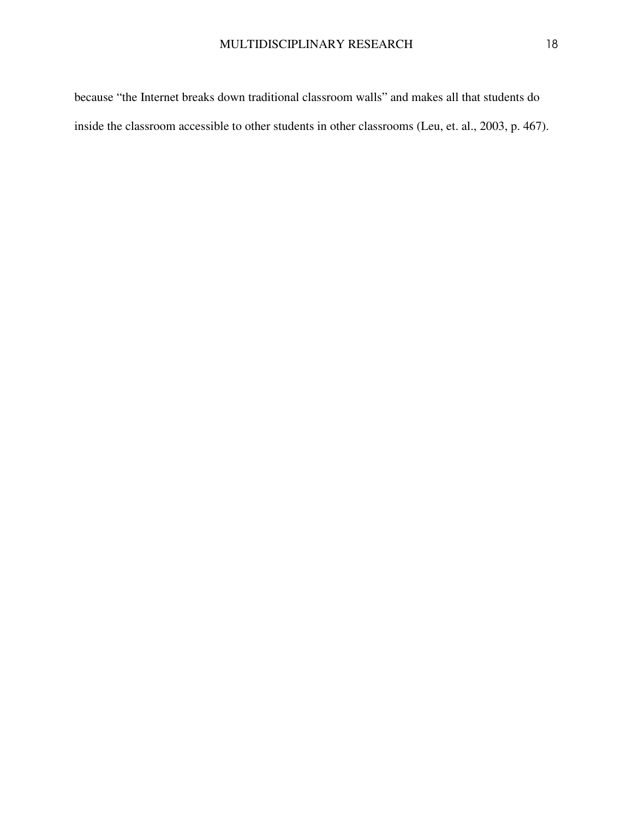because "the Internet breaks down traditional classroom walls" and makes all that students do inside the classroom accessible to other students in other classrooms (Leu, et. al., 2003, p. 467).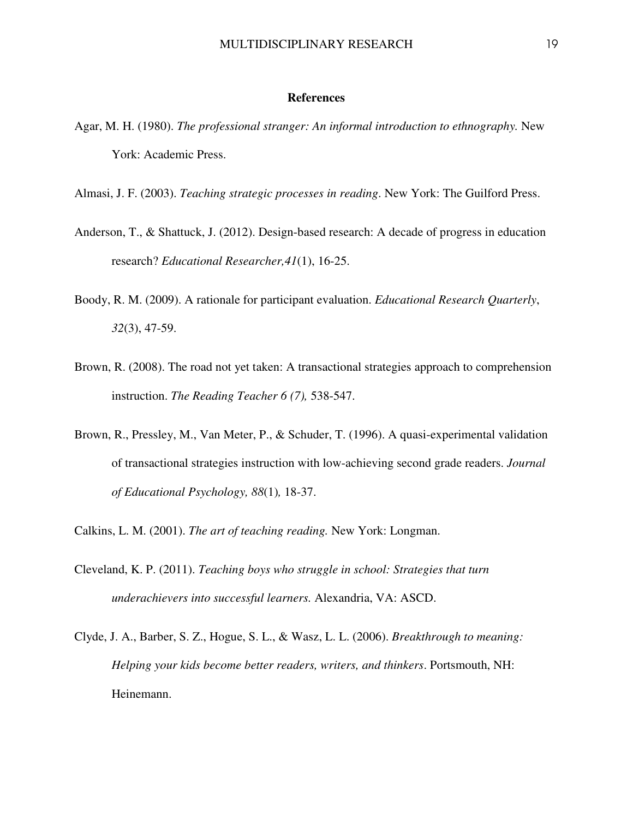#### **References**

- Agar, M. H. (1980). *The professional stranger: An informal introduction to ethnography.* New York: Academic Press.
- Almasi, J. F. (2003). *Teaching strategic processes in reading*. New York: The Guilford Press.
- Anderson, T., & Shattuck, J. (2012). Design-based research: A decade of progress in education research? *Educational Researcher,41*(1), 16-25.
- Boody, R. M. (2009). A rationale for participant evaluation. *Educational Research Quarterly*, *32*(3), 47-59.
- Brown, R. (2008). The road not yet taken: A transactional strategies approach to comprehension instruction. *The Reading Teacher 6 (7),* 538-547.
- Brown, R., Pressley, M., Van Meter, P., & Schuder, T. (1996). A quasi-experimental validation of transactional strategies instruction with low-achieving second grade readers. *Journal of Educational Psychology, 88*(1)*,* 18-37.
- Calkins, L. M. (2001). *The art of teaching reading.* New York: Longman.
- Cleveland, K. P. (2011). *Teaching boys who struggle in school: Strategies that turn underachievers into successful learners.* Alexandria, VA: ASCD.
- Clyde, J. A., Barber, S. Z., Hogue, S. L., & Wasz, L. L. (2006). *Breakthrough to meaning: Helping your kids become better readers, writers, and thinkers*. Portsmouth, NH: Heinemann.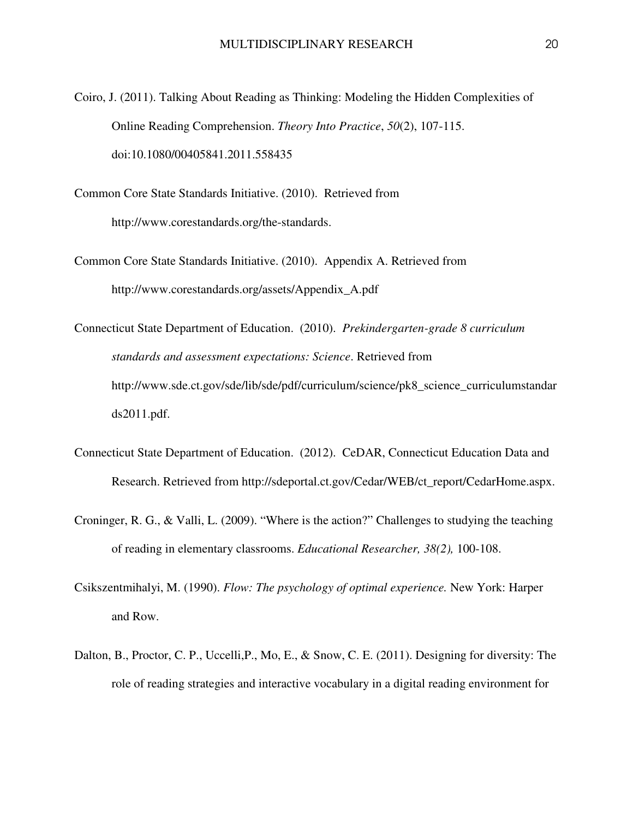- Coiro, J. (2011). Talking About Reading as Thinking: Modeling the Hidden Complexities of Online Reading Comprehension. *Theory Into Practice*, *50*(2), 107-115. doi:10.1080/00405841.2011.558435
- Common Core State Standards Initiative. (2010). Retrieved from http://www.corestandards.org/the-standards.
- Common Core State Standards Initiative. (2010). Appendix A. Retrieved from http://www.corestandards.org/assets/Appendix\_A.pdf

Connecticut State Department of Education. (2010). *Prekindergarten-grade 8 curriculum standards and assessment expectations: Science*. Retrieved from http://www.sde.ct.gov/sde/lib/sde/pdf/curriculum/science/pk8\_science\_curriculumstandar ds2011.pdf.

- Connecticut State Department of Education. (2012). CeDAR, Connecticut Education Data and Research. Retrieved from http://sdeportal.ct.gov/Cedar/WEB/ct\_report/CedarHome.aspx.
- Croninger, R. G., & Valli, L. (2009). "Where is the action?" Challenges to studying the teaching of reading in elementary classrooms. *Educational Researcher, 38(2),* 100-108.
- Csikszentmihalyi, M. (1990). *Flow: The psychology of optimal experience.* New York: Harper and Row.
- Dalton, B., Proctor, C. P., Uccelli,P., Mo, E., & Snow, C. E. (2011). Designing for diversity: The role of reading strategies and interactive vocabulary in a digital reading environment for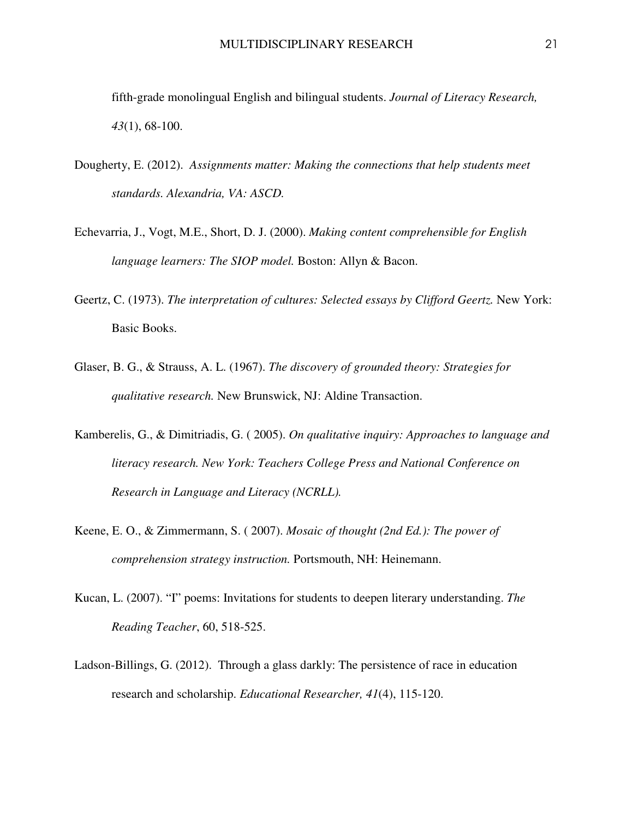fifth-grade monolingual English and bilingual students. *Journal of Literacy Research, 43*(1), 68-100.

- Dougherty, E. (2012). *Assignments matter: Making the connections that help students meet standards. Alexandria, VA: ASCD.*
- Echevarria, J., Vogt, M.E., Short, D. J. (2000). *Making content comprehensible for English language learners: The SIOP model. Boston: Allyn & Bacon.*
- Geertz, C. (1973). *The interpretation of cultures: Selected essays by Clifford Geertz.* New York: Basic Books.
- Glaser, B. G., & Strauss, A. L. (1967). *The discovery of grounded theory: Strategies for qualitative research.* New Brunswick, NJ: Aldine Transaction.
- Kamberelis, G., & Dimitriadis, G. ( 2005). *On qualitative inquiry: Approaches to language and literacy research. New York: Teachers College Press and National Conference on Research in Language and Literacy (NCRLL).*
- Keene, E. O., & Zimmermann, S. ( 2007). *Mosaic of thought (2nd Ed.): The power of comprehension strategy instruction.* Portsmouth, NH: Heinemann.
- Kucan, L. (2007). "I" poems: Invitations for students to deepen literary understanding. *The Reading Teacher*, 60, 518-525.
- Ladson-Billings, G. (2012). Through a glass darkly: The persistence of race in education research and scholarship. *Educational Researcher, 41*(4), 115-120.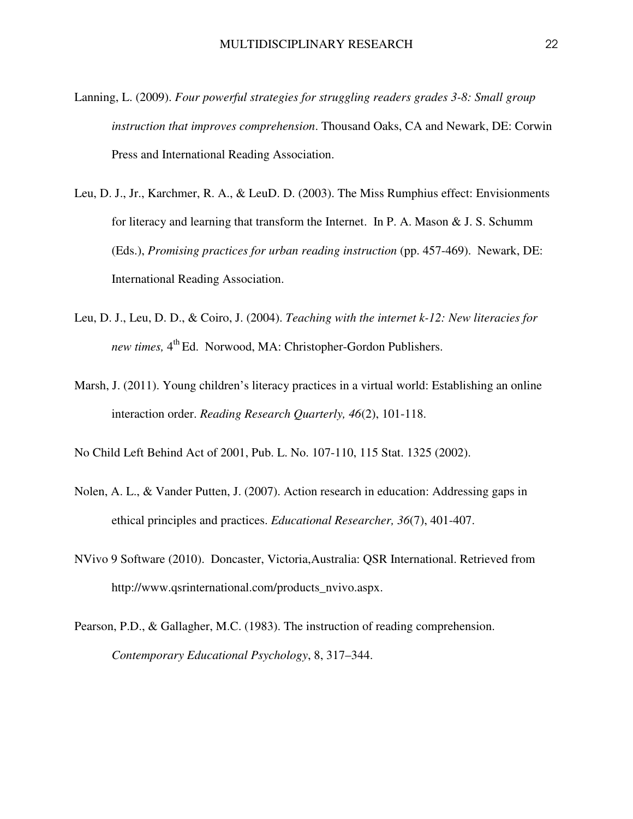- Lanning, L. (2009). *Four powerful strategies for struggling readers grades 3-8: Small group instruction that improves comprehension*. Thousand Oaks, CA and Newark, DE: Corwin Press and International Reading Association.
- Leu, D. J., Jr., Karchmer, R. A., & LeuD. D. (2003). The Miss Rumphius effect: Envisionments for literacy and learning that transform the Internet. In P. A. Mason & J. S. Schumm (Eds.), *Promising practices for urban reading instruction* (pp. 457-469). Newark, DE: International Reading Association.
- Leu, D. J., Leu, D. D., & Coiro, J. (2004). *Teaching with the internet k-12: New literacies for*  new times, 4<sup>th</sup> Ed. Norwood, MA: Christopher-Gordon Publishers.
- Marsh, J. (2011). Young children's literacy practices in a virtual world: Establishing an online interaction order. *Reading Research Quarterly, 46*(2), 101-118.
- No Child Left Behind Act of 2001, Pub. L. No. 107-110, 115 Stat. 1325 (2002).
- Nolen, A. L., & Vander Putten, J. (2007). Action research in education: Addressing gaps in ethical principles and practices. *Educational Researcher, 36*(7), 401-407.
- NVivo 9 Software (2010). Doncaster, Victoria,Australia: QSR International. Retrieved from http://www.qsrinternational.com/products\_nvivo.aspx.
- Pearson, P.D., & Gallagher, M.C. (1983). The instruction of reading comprehension. *Contemporary Educational Psychology*, 8, 317–344.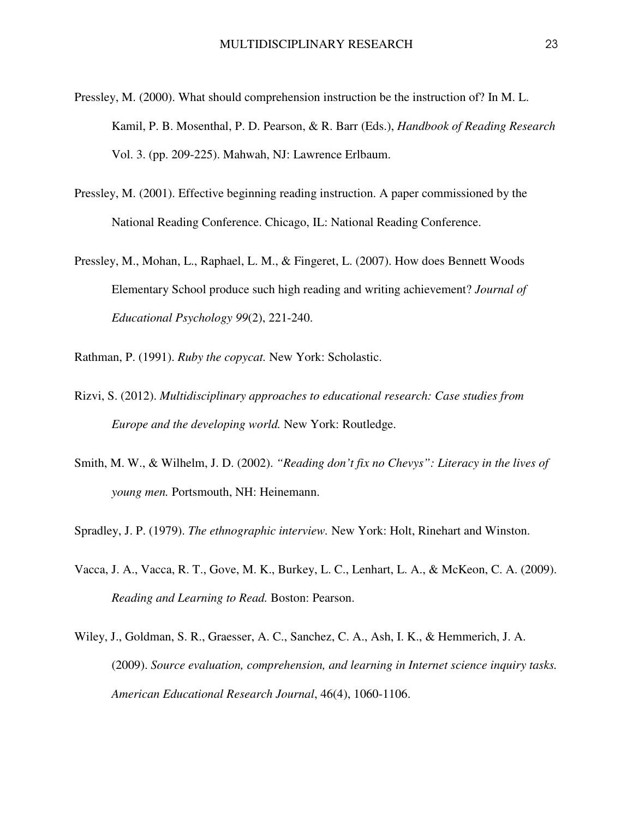- Pressley, M. (2000). What should comprehension instruction be the instruction of? In M. L. Kamil, P. B. Mosenthal, P. D. Pearson, & R. Barr (Eds.), *Handbook of Reading Research* Vol. 3. (pp. 209-225). Mahwah, NJ: Lawrence Erlbaum.
- Pressley, M. (2001). Effective beginning reading instruction. A paper commissioned by the National Reading Conference. Chicago, IL: National Reading Conference.
- Pressley, M., Mohan, L., Raphael, L. M., & Fingeret, L. (2007). How does Bennett Woods Elementary School produce such high reading and writing achievement? *Journal of Educational Psychology 99*(2), 221-240.
- Rathman, P. (1991). *Ruby the copycat.* New York: Scholastic.
- Rizvi, S. (2012). *Multidisciplinary approaches to educational research: Case studies from Europe and the developing world.* New York: Routledge.
- Smith, M. W., & Wilhelm, J. D. (2002). *"Reading don't fix no Chevys": Literacy in the lives of young men.* Portsmouth, NH: Heinemann.
- Spradley, J. P. (1979). *The ethnographic interview.* New York: Holt, Rinehart and Winston.
- Vacca, J. A., Vacca, R. T., Gove, M. K., Burkey, L. C., Lenhart, L. A., & McKeon, C. A. (2009). *Reading and Learning to Read.* Boston: Pearson.
- Wiley, J., Goldman, S. R., Graesser, A. C., Sanchez, C. A., Ash, I. K., & Hemmerich, J. A. (2009). *Source evaluation, comprehension, and learning in Internet science inquiry tasks. American Educational Research Journal*, 46(4), 1060-1106.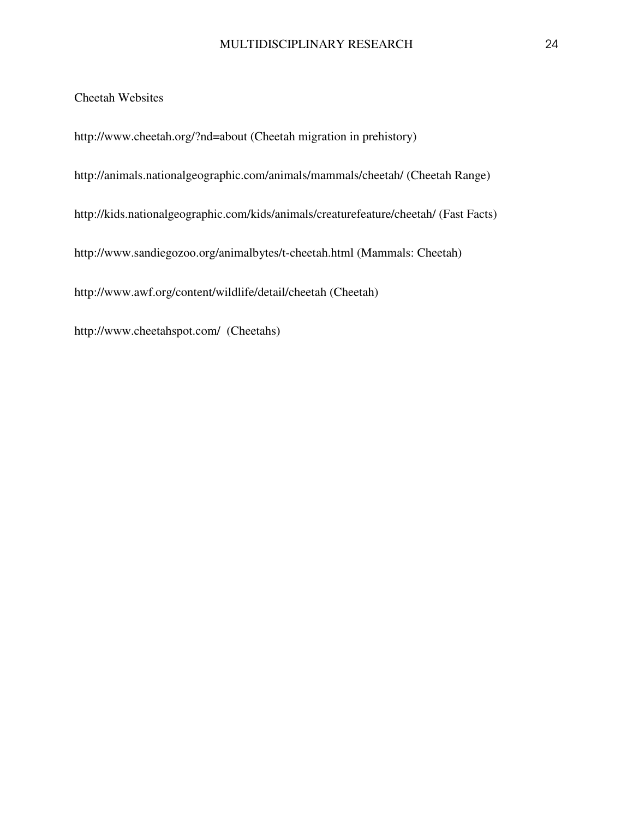Cheetah Websites

http://www.cheetah.org/?nd=about (Cheetah migration in prehistory)

http://animals.nationalgeographic.com/animals/mammals/cheetah/ (Cheetah Range)

http://kids.nationalgeographic.com/kids/animals/creaturefeature/cheetah/ (Fast Facts)

http://www.sandiegozoo.org/animalbytes/t-cheetah.html (Mammals: Cheetah)

http://www.awf.org/content/wildlife/detail/cheetah (Cheetah)

http://www.cheetahspot.com/ (Cheetahs)